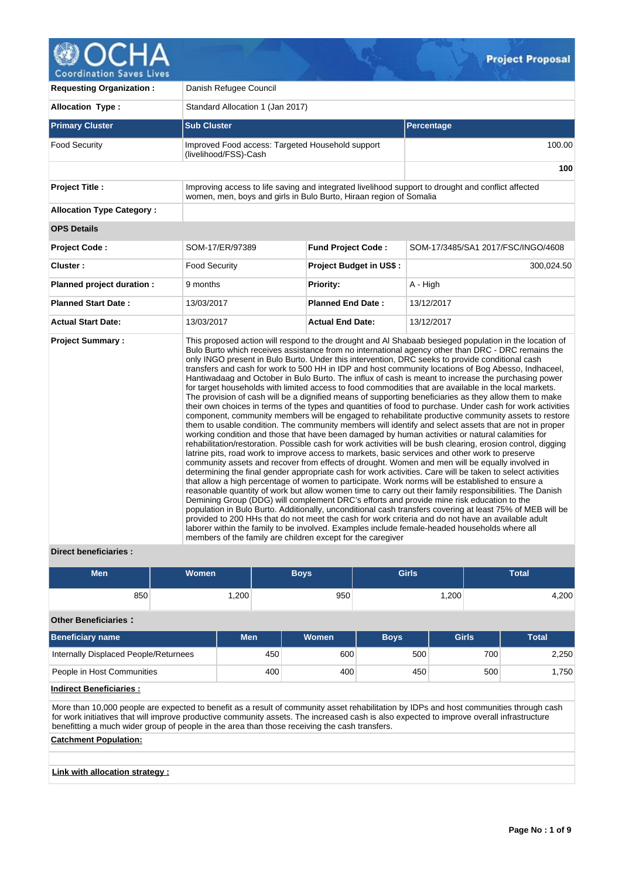

| <b>Requesting Organization:</b>  | Danish Refugee Council                                                    |                                |                                                                                                                                                                                                                                                                                                                                                                                                                                                                                                                                                                                                                                                                                                                                                                                                                                                                                                                                                                                                                                                                                                                                                                                                                                                                                                                                                                                                                                                                                                                                                                                                                                                                                                                                                                                                                                                                                                                                                                                                                                                                                                                                                                                                                                                           |  |  |  |  |  |  |
|----------------------------------|---------------------------------------------------------------------------|--------------------------------|-----------------------------------------------------------------------------------------------------------------------------------------------------------------------------------------------------------------------------------------------------------------------------------------------------------------------------------------------------------------------------------------------------------------------------------------------------------------------------------------------------------------------------------------------------------------------------------------------------------------------------------------------------------------------------------------------------------------------------------------------------------------------------------------------------------------------------------------------------------------------------------------------------------------------------------------------------------------------------------------------------------------------------------------------------------------------------------------------------------------------------------------------------------------------------------------------------------------------------------------------------------------------------------------------------------------------------------------------------------------------------------------------------------------------------------------------------------------------------------------------------------------------------------------------------------------------------------------------------------------------------------------------------------------------------------------------------------------------------------------------------------------------------------------------------------------------------------------------------------------------------------------------------------------------------------------------------------------------------------------------------------------------------------------------------------------------------------------------------------------------------------------------------------------------------------------------------------------------------------------------------------|--|--|--|--|--|--|
| Allocation Type:                 | Standard Allocation 1 (Jan 2017)                                          |                                |                                                                                                                                                                                                                                                                                                                                                                                                                                                                                                                                                                                                                                                                                                                                                                                                                                                                                                                                                                                                                                                                                                                                                                                                                                                                                                                                                                                                                                                                                                                                                                                                                                                                                                                                                                                                                                                                                                                                                                                                                                                                                                                                                                                                                                                           |  |  |  |  |  |  |
| <b>Primary Cluster</b>           | <b>Sub Cluster</b>                                                        |                                | Percentage                                                                                                                                                                                                                                                                                                                                                                                                                                                                                                                                                                                                                                                                                                                                                                                                                                                                                                                                                                                                                                                                                                                                                                                                                                                                                                                                                                                                                                                                                                                                                                                                                                                                                                                                                                                                                                                                                                                                                                                                                                                                                                                                                                                                                                                |  |  |  |  |  |  |
| <b>Food Security</b>             | Improved Food access: Targeted Household support<br>(livelihood/FSS)-Cash |                                | 100.00                                                                                                                                                                                                                                                                                                                                                                                                                                                                                                                                                                                                                                                                                                                                                                                                                                                                                                                                                                                                                                                                                                                                                                                                                                                                                                                                                                                                                                                                                                                                                                                                                                                                                                                                                                                                                                                                                                                                                                                                                                                                                                                                                                                                                                                    |  |  |  |  |  |  |
|                                  |                                                                           |                                | 100                                                                                                                                                                                                                                                                                                                                                                                                                                                                                                                                                                                                                                                                                                                                                                                                                                                                                                                                                                                                                                                                                                                                                                                                                                                                                                                                                                                                                                                                                                                                                                                                                                                                                                                                                                                                                                                                                                                                                                                                                                                                                                                                                                                                                                                       |  |  |  |  |  |  |
| <b>Project Title:</b>            | women, men, boys and girls in Bulo Burto, Hiraan region of Somalia        |                                | Improving access to life saving and integrated livelihood support to drought and conflict affected                                                                                                                                                                                                                                                                                                                                                                                                                                                                                                                                                                                                                                                                                                                                                                                                                                                                                                                                                                                                                                                                                                                                                                                                                                                                                                                                                                                                                                                                                                                                                                                                                                                                                                                                                                                                                                                                                                                                                                                                                                                                                                                                                        |  |  |  |  |  |  |
| <b>Allocation Type Category:</b> |                                                                           |                                |                                                                                                                                                                                                                                                                                                                                                                                                                                                                                                                                                                                                                                                                                                                                                                                                                                                                                                                                                                                                                                                                                                                                                                                                                                                                                                                                                                                                                                                                                                                                                                                                                                                                                                                                                                                                                                                                                                                                                                                                                                                                                                                                                                                                                                                           |  |  |  |  |  |  |
| <b>OPS Details</b>               |                                                                           |                                |                                                                                                                                                                                                                                                                                                                                                                                                                                                                                                                                                                                                                                                                                                                                                                                                                                                                                                                                                                                                                                                                                                                                                                                                                                                                                                                                                                                                                                                                                                                                                                                                                                                                                                                                                                                                                                                                                                                                                                                                                                                                                                                                                                                                                                                           |  |  |  |  |  |  |
| <b>Project Code:</b>             | SOM-17/ER/97389                                                           | <b>Fund Project Code:</b>      | SOM-17/3485/SA1 2017/FSC/INGO/4608                                                                                                                                                                                                                                                                                                                                                                                                                                                                                                                                                                                                                                                                                                                                                                                                                                                                                                                                                                                                                                                                                                                                                                                                                                                                                                                                                                                                                                                                                                                                                                                                                                                                                                                                                                                                                                                                                                                                                                                                                                                                                                                                                                                                                        |  |  |  |  |  |  |
| Cluster:                         | <b>Food Security</b>                                                      | <b>Project Budget in US\$:</b> | 300,024.50                                                                                                                                                                                                                                                                                                                                                                                                                                                                                                                                                                                                                                                                                                                                                                                                                                                                                                                                                                                                                                                                                                                                                                                                                                                                                                                                                                                                                                                                                                                                                                                                                                                                                                                                                                                                                                                                                                                                                                                                                                                                                                                                                                                                                                                |  |  |  |  |  |  |
| Planned project duration :       | 9 months                                                                  | <b>Priority:</b>               | A - High                                                                                                                                                                                                                                                                                                                                                                                                                                                                                                                                                                                                                                                                                                                                                                                                                                                                                                                                                                                                                                                                                                                                                                                                                                                                                                                                                                                                                                                                                                                                                                                                                                                                                                                                                                                                                                                                                                                                                                                                                                                                                                                                                                                                                                                  |  |  |  |  |  |  |
| <b>Planned Start Date:</b>       | 13/03/2017                                                                | <b>Planned End Date:</b>       | 13/12/2017                                                                                                                                                                                                                                                                                                                                                                                                                                                                                                                                                                                                                                                                                                                                                                                                                                                                                                                                                                                                                                                                                                                                                                                                                                                                                                                                                                                                                                                                                                                                                                                                                                                                                                                                                                                                                                                                                                                                                                                                                                                                                                                                                                                                                                                |  |  |  |  |  |  |
| <b>Actual Start Date:</b>        | 13/03/2017                                                                | <b>Actual End Date:</b>        | 13/12/2017                                                                                                                                                                                                                                                                                                                                                                                                                                                                                                                                                                                                                                                                                                                                                                                                                                                                                                                                                                                                                                                                                                                                                                                                                                                                                                                                                                                                                                                                                                                                                                                                                                                                                                                                                                                                                                                                                                                                                                                                                                                                                                                                                                                                                                                |  |  |  |  |  |  |
| <b>Project Summary:</b>          | members of the family are children except for the caregiver               |                                | This proposed action will respond to the drought and AI Shabaab besieged population in the location of<br>Bulo Burto which receives assistance from no international agency other than DRC - DRC remains the<br>only INGO present in Bulo Burto. Under this intervention, DRC seeks to provide conditional cash<br>transfers and cash for work to 500 HH in IDP and host community locations of Bog Abesso, Indhaceel,<br>Hantiwadaag and October in Bulo Burto. The influx of cash is meant to increase the purchasing power<br>for target households with limited access to food commodities that are available in the local markets.<br>The provision of cash will be a dignified means of supporting beneficiaries as they allow them to make<br>their own choices in terms of the types and quantities of food to purchase. Under cash for work activities<br>component, community members will be engaged to rehabilitate productive community assets to restore<br>them to usable condition. The community members will identify and select assets that are not in proper<br>working condition and those that have been damaged by human activities or natural calamities for<br>rehabilitation/restoration. Possible cash for work activities will be bush clearing, erosion control, digging<br>latrine pits, road work to improve access to markets, basic services and other work to preserve<br>community assets and recover from effects of drought. Women and men will be equally involved in<br>determining the final gender appropriate cash for work activities. Care will be taken to select activities<br>that allow a high percentage of women to participate. Work norms will be established to ensure a<br>reasonable quantity of work but allow women time to carry out their family responsibilities. The Danish<br>Demining Group (DDG) will complement DRC's efforts and provide mine risk education to the<br>population in Bulo Burto. Additionally, unconditional cash transfers covering at least 75% of MEB will be<br>provided to 200 HHs that do not meet the cash for work criteria and do not have an available adult<br>laborer within the family to be involved. Examples include female-headed households where all |  |  |  |  |  |  |

## **Direct beneficiaries :**

| <b>Men</b> | <b>Women</b> | Boys' | <b>Girls</b> | <b>Total</b> |  |  |  |  |
|------------|--------------|-------|--------------|--------------|--|--|--|--|
| 850        | ,200         | 950   | ,200         | 1,200        |  |  |  |  |

**Other Beneficiaries :**

| <b>Beneficiary name</b>               | Men | <b>Women</b> | <b>Boys</b> | <b>Girls</b> | Total |
|---------------------------------------|-----|--------------|-------------|--------------|-------|
| Internally Displaced People/Returnees | 450 | 600          | 500         | 700          | 2.250 |
| People in Host Communities            | 400 | 400          | 450         | 500          | 1,750 |
| .                                     |     |              |             |              |       |

## **Indirect Beneficiaries :**

More than 10,000 people are expected to benefit as a result of community asset rehabilitation by IDPs and host communities through cash for work initiatives that will improve productive community assets. The increased cash is also expected to improve overall infrastructure benefitting a much wider group of people in the area than those receiving the cash transfers.

## **Catchment Population:**

## **Link with allocation strategy :**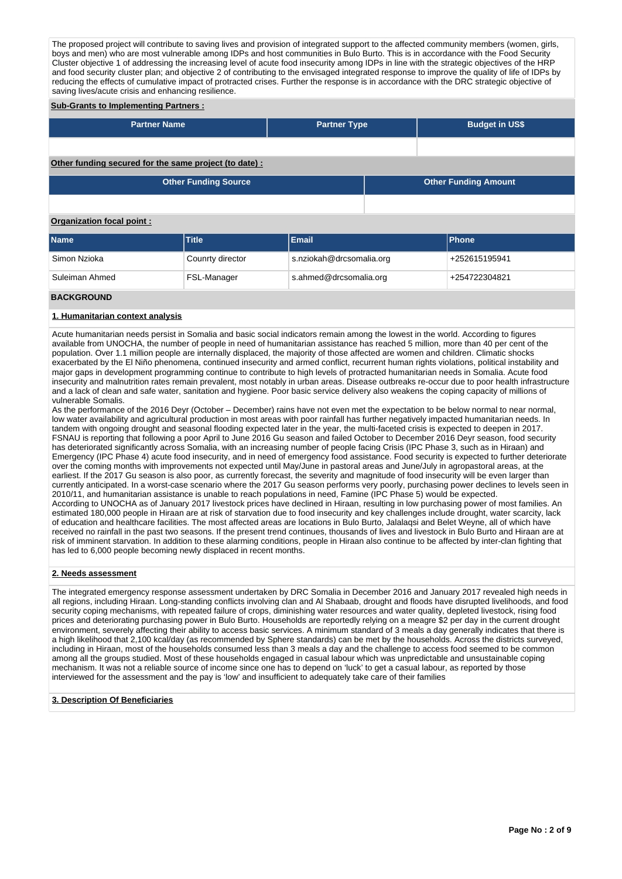The proposed project will contribute to saving lives and provision of integrated support to the affected community members (women, girls, boys and men) who are most vulnerable among IDPs and host communities in Bulo Burto. This is in accordance with the Food Security Cluster objective 1 of addressing the increasing level of acute food insecurity among IDPs in line with the strategic objectives of the HRP and food security cluster plan; and objective 2 of contributing to the envisaged integrated response to improve the quality of life of IDPs by reducing the effects of cumulative impact of protracted crises. Further the response is in accordance with the DRC strategic objective of saving lives/acute crisis and enhancing resilience.

#### **Sub-Grants to Implementing Partners :**

| <b>Partner Name</b>                                   | <b>Partner Type</b> | <b>Budget in US\$</b>       |  |
|-------------------------------------------------------|---------------------|-----------------------------|--|
|                                                       |                     |                             |  |
|                                                       |                     |                             |  |
|                                                       |                     |                             |  |
| Other funding secured for the same project (to date): |                     |                             |  |
|                                                       |                     |                             |  |
| <b>Other Funding Source</b>                           |                     | <b>Other Funding Amount</b> |  |

### **Organization focal point :**

| <b>Name</b>    | Title            | <b>Email</b>             | <b>IPhone</b> |
|----------------|------------------|--------------------------|---------------|
| Simon Nzioka   | Counrty director | s.nziokah@drcsomalia.org | +252615195941 |
| Suleiman Ahmed | FSL-Manager      | s.ahmed@drcsomalia.org   | +254722304821 |

## **BACKGROUND**

#### **1. Humanitarian context analysis**

Acute humanitarian needs persist in Somalia and basic social indicators remain among the lowest in the world. According to figures available from UNOCHA, the number of people in need of humanitarian assistance has reached 5 million, more than 40 per cent of the population. Over 1.1 million people are internally displaced, the majority of those affected are women and children. Climatic shocks exacerbated by the El Niño phenomena, continued insecurity and armed conflict, recurrent human rights violations, political instability and major gaps in development programming continue to contribute to high levels of protracted humanitarian needs in Somalia. Acute food insecurity and malnutrition rates remain prevalent, most notably in urban areas. Disease outbreaks re-occur due to poor health infrastructure and a lack of clean and safe water, sanitation and hygiene. Poor basic service delivery also weakens the coping capacity of millions of vulnerable Somalis.

As the performance of the 2016 Deyr (October – December) rains have not even met the expectation to be below normal to near normal, low water availability and agricultural production in most areas with poor rainfall has further negatively impacted humanitarian needs. In tandem with ongoing drought and seasonal flooding expected later in the year, the multi-faceted crisis is expected to deepen in 2017. FSNAU is reporting that following a poor April to June 2016 Gu season and failed October to December 2016 Deyr season, food security has deteriorated significantly across Somalia, with an increasing number of people facing Crisis (IPC Phase 3, such as in Hiraan) and Emergency (IPC Phase 4) acute food insecurity, and in need of emergency food assistance. Food security is expected to further deteriorate over the coming months with improvements not expected until May/June in pastoral areas and June/July in agropastoral areas, at the earliest. If the 2017 Gu season is also poor, as currently forecast, the severity and magnitude of food insecurity will be even larger than currently anticipated. In a worst-case scenario where the 2017 Gu season performs very poorly, purchasing power declines to levels seen in 2010/11, and humanitarian assistance is unable to reach populations in need, Famine (IPC Phase 5) would be expected. According to UNOCHA as of January 2017 livestock prices have declined in Hiraan, resulting in low purchasing power of most families. An estimated 180,000 people in Hiraan are at risk of starvation due to food insecurity and key challenges include drought, water scarcity, lack of education and healthcare facilities. The most affected areas are locations in Bulo Burto, Jalalaqsi and Belet Weyne, all of which have received no rainfall in the past two seasons. If the present trend continues, thousands of lives and livestock in Bulo Burto and Hiraan are at risk of imminent starvation. In addition to these alarming conditions, people in Hiraan also continue to be affected by inter-clan fighting that has led to 6,000 people becoming newly displaced in recent months.

### **2. Needs assessment**

The integrated emergency response assessment undertaken by DRC Somalia in December 2016 and January 2017 revealed high needs in all regions, including Hiraan. Long-standing conflicts involving clan and Al Shabaab, drought and floods have disrupted livelihoods, and food security coping mechanisms, with repeated failure of crops, diminishing water resources and water quality, depleted livestock, rising food prices and deteriorating purchasing power in Bulo Burto. Households are reportedly relying on a meagre \$2 per day in the current drought environment, severely affecting their ability to access basic services. A minimum standard of 3 meals a day generally indicates that there is a high likelihood that 2,100 kcal/day (as recommended by Sphere standards) can be met by the households. Across the districts surveyed, including in Hiraan, most of the households consumed less than 3 meals a day and the challenge to access food seemed to be common among all the groups studied. Most of these households engaged in casual labour which was unpredictable and unsustainable coping mechanism. It was not a reliable source of income since one has to depend on 'luck' to get a casual labour, as reported by those interviewed for the assessment and the pay is 'low' and insufficient to adequately take care of their families

#### **3. Description Of Beneficiaries**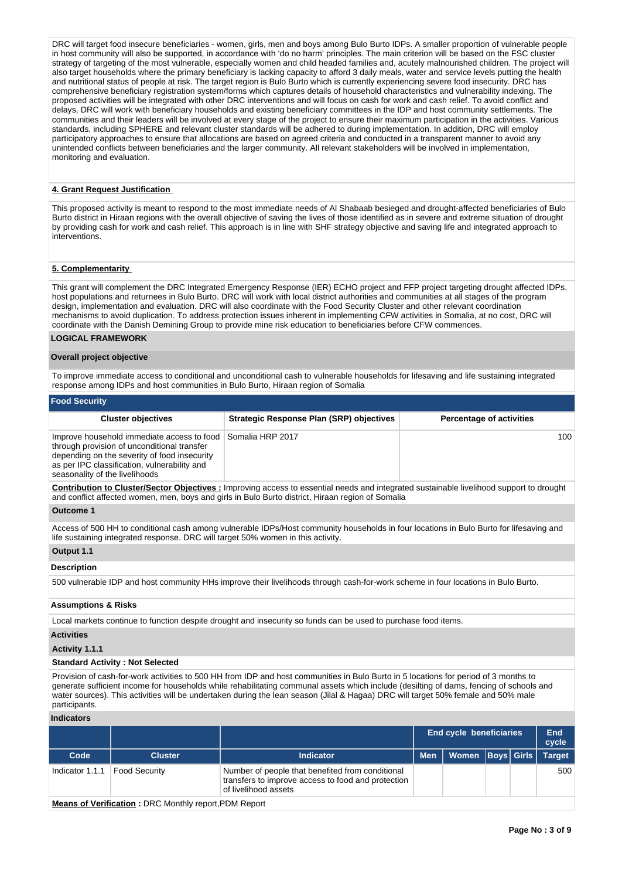DRC will target food insecure beneficiaries - women, girls, men and boys among Bulo Burto IDPs. A smaller proportion of vulnerable people in host community will also be supported, in accordance with 'do no harm' principles. The main criterion will be based on the FSC cluster strategy of targeting of the most vulnerable, especially women and child headed families and, acutely malnourished children. The project will also target households where the primary beneficiary is lacking capacity to afford 3 daily meals, water and service levels putting the health and nutritional status of people at risk. The target region is Bulo Burto which is currently experiencing severe food insecurity. DRC has comprehensive beneficiary registration system/forms which captures details of household characteristics and vulnerability indexing. The proposed activities will be integrated with other DRC interventions and will focus on cash for work and cash relief. To avoid conflict and delays, DRC will work with beneficiary households and existing beneficiary committees in the IDP and host community settlements. The communities and their leaders will be involved at every stage of the project to ensure their maximum participation in the activities. Various standards, including SPHERE and relevant cluster standards will be adhered to during implementation. In addition, DRC will employ participatory approaches to ensure that allocations are based on agreed criteria and conducted in a transparent manner to avoid any unintended conflicts between beneficiaries and the larger community. All relevant stakeholders will be involved in implementation, monitoring and evaluation.

#### **4. Grant Request Justification**

This proposed activity is meant to respond to the most immediate needs of Al Shabaab besieged and drought-affected beneficiaries of Bulo Burto district in Hiraan regions with the overall objective of saving the lives of those identified as in severe and extreme situation of drought by providing cash for work and cash relief. This approach is in line with SHF strategy objective and saving life and integrated approach to interventions.

#### **5. Complementarity**

This grant will complement the DRC Integrated Emergency Response (IER) ECHO project and FFP project targeting drought affected IDPs, host populations and returnees in Bulo Burto. DRC will work with local district authorities and communities at all stages of the program design, implementation and evaluation. DRC will also coordinate with the Food Security Cluster and other relevant coordination mechanisms to avoid duplication. To address protection issues inherent in implementing CFW activities in Somalia, at no cost, DRC will coordinate with the Danish Demining Group to provide mine risk education to beneficiaries before CFW commences.

## **LOGICAL FRAMEWORK**

#### **Overall project objective**

To improve immediate access to conditional and unconditional cash to vulnerable households for lifesaving and life sustaining integrated response among IDPs and host communities in Bulo Burto, Hiraan region of Somalia

| <b>Food Security</b>                                                                                                                                                                                                        |                                                 |                                 |  |  |  |  |  |  |  |  |  |
|-----------------------------------------------------------------------------------------------------------------------------------------------------------------------------------------------------------------------------|-------------------------------------------------|---------------------------------|--|--|--|--|--|--|--|--|--|
| <b>Cluster objectives</b>                                                                                                                                                                                                   | <b>Strategic Response Plan (SRP) objectives</b> | <b>Percentage of activities</b> |  |  |  |  |  |  |  |  |  |
| Improve household immediate access to food<br>through provision of unconditional transfer<br>depending on the severity of food insecurity<br>as per IPC classification, vulnerability and<br>seasonality of the livelihoods | Somalia HRP 2017                                | 100                             |  |  |  |  |  |  |  |  |  |

**Contribution to Cluster/Sector Objectives :** Improving access to essential needs and integrated sustainable livelihood support to drought and conflict affected women, men, boys and girls in Bulo Burto district, Hiraan region of Somalia

## **Outcome 1**

Access of 500 HH to conditional cash among vulnerable IDPs/Host community households in four locations in Bulo Burto for lifesaving and life sustaining integrated response. DRC will target 50% women in this activity.

## **Output 1.1**

## **Description**

500 vulnerable IDP and host community HHs improve their livelihoods through cash-for-work scheme in four locations in Bulo Burto.

#### **Assumptions & Risks**

Local markets continue to function despite drought and insecurity so funds can be used to purchase food items.

## **Activities**

# **Activity 1.1.1**

### **Standard Activity : Not Selected**

Provision of cash-for-work activities to 500 HH from IDP and host communities in Bulo Burto in 5 locations for period of 3 months to generate sufficient income for households while rehabilitating communal assets which include (desilting of dams, fencing of schools and water sources). This activities will be undertaken during the lean season (Jilal & Hagaa) DRC will target 50% female and 50% male participants.

### **Indicators**

|                 |                                                       |                                                                                                                                |            | <b>End cycle beneficiaries</b> |  |  |               |  |
|-----------------|-------------------------------------------------------|--------------------------------------------------------------------------------------------------------------------------------|------------|--------------------------------|--|--|---------------|--|
| Code            | <b>Cluster</b>                                        | <b>Indicator</b>                                                                                                               | <b>Men</b> | Women   Boys   Girls           |  |  | <b>Target</b> |  |
| Indicator 1.1.1 | <b>Food Security</b>                                  | Number of people that benefited from conditional<br>transfers to improve access to food and protection<br>of livelihood assets |            |                                |  |  | 500           |  |
|                 | Means of Varification - DDC Monthly report DDM Deport |                                                                                                                                |            |                                |  |  |               |  |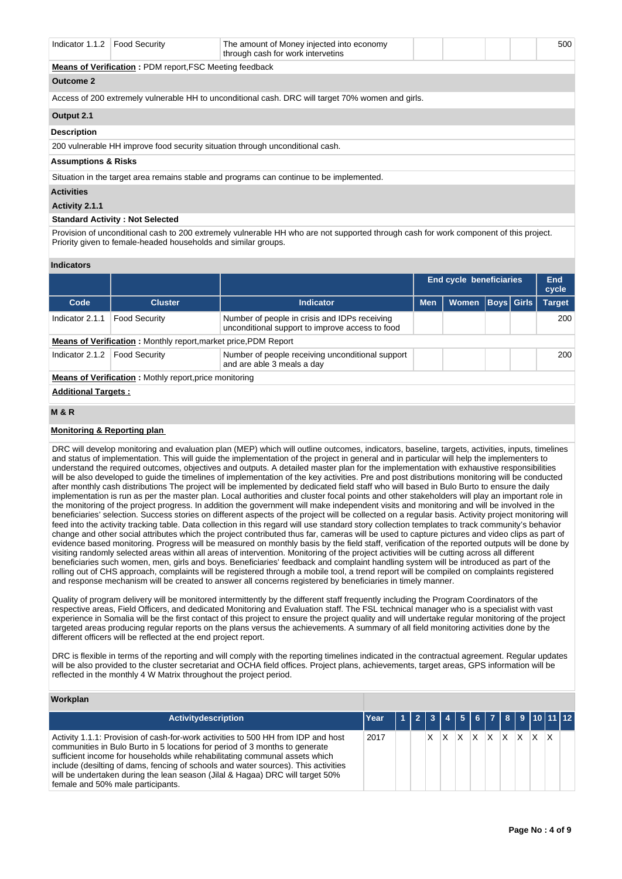| Indicator 1.1.2                | <b>Food Security</b>                                           | The amount of Money injected into economy<br>through cash for work intervetins                    |  |  | 500 |
|--------------------------------|----------------------------------------------------------------|---------------------------------------------------------------------------------------------------|--|--|-----|
|                                |                                                                |                                                                                                   |  |  |     |
|                                | <b>Means of Verification: PDM report, FSC Meeting feedback</b> |                                                                                                   |  |  |     |
| <b>Outcome 2</b>               |                                                                |                                                                                                   |  |  |     |
|                                |                                                                | Access of 200 extremely vulnerable HH to unconditional cash. DRC will target 70% women and girls. |  |  |     |
| Output 2.1                     |                                                                |                                                                                                   |  |  |     |
| <b>Description</b>             |                                                                |                                                                                                   |  |  |     |
|                                |                                                                | 200 vulnerable HH improve food security situation through unconditional cash.                     |  |  |     |
| <b>Assumptions &amp; Risks</b> |                                                                |                                                                                                   |  |  |     |
|                                |                                                                | Situation in the target area remains stable and programs can continue to be implemented.          |  |  |     |
| <b>Activities</b>              |                                                                |                                                                                                   |  |  |     |

**Activity 2.1.1** 

## **Standard Activity : Not Selected**

Provision of unconditional cash to 200 extremely vulnerable HH who are not supported through cash for work component of this project. Priority given to female-headed households and similar groups.

### **Indicators**

|                            |                                                                        |                                                                                                  | End cycle beneficiaries |              |  |                   | End<br>cycle  |
|----------------------------|------------------------------------------------------------------------|--------------------------------------------------------------------------------------------------|-------------------------|--------------|--|-------------------|---------------|
| Code                       | <b>Cluster</b>                                                         | <b>Indicator</b>                                                                                 | <b>Men</b>              | <b>Women</b> |  | <b>Boys Girls</b> | <b>Target</b> |
| Indicator 2.1.1            | <b>Food Security</b>                                                   | Number of people in crisis and IDPs receiving<br>unconditional support to improve access to food |                         |              |  |                   | 200           |
|                            | <b>Means of Verification:</b> Monthly report, market price, PDM Report |                                                                                                  |                         |              |  |                   |               |
| Indicator 2.1.2            | <b>Food Security</b>                                                   | Number of people receiving unconditional support<br>and are able 3 meals a day                   |                         |              |  |                   | 200           |
|                            | <b>Means of Verification:</b> Mothly report, price monitoring          |                                                                                                  |                         |              |  |                   |               |
| <b>Additional Targets:</b> |                                                                        |                                                                                                  |                         |              |  |                   |               |
|                            |                                                                        |                                                                                                  |                         |              |  |                   |               |

### **M & R**

## **Monitoring & Reporting plan**

DRC will develop monitoring and evaluation plan (MEP) which will outline outcomes, indicators, baseline, targets, activities, inputs, timelines and status of implementation. This will guide the implementation of the project in general and in particular will help the implementers to understand the required outcomes, objectives and outputs. A detailed master plan for the implementation with exhaustive responsibilities will be also developed to guide the timelines of implementation of the key activities. Pre and post distributions monitoring will be conducted after monthly cash distributions The project will be implemented by dedicated field staff who will based in Bulo Burto to ensure the daily implementation is run as per the master plan. Local authorities and cluster focal points and other stakeholders will play an important role in the monitoring of the project progress. In addition the government will make independent visits and monitoring and will be involved in the beneficiaries' selection. Success stories on different aspects of the project will be collected on a regular basis. Activity project monitoring will feed into the activity tracking table. Data collection in this regard will use standard story collection templates to track community's behavior change and other social attributes which the project contributed thus far, cameras will be used to capture pictures and video clips as part of evidence based monitoring. Progress will be measured on monthly basis by the field staff, verification of the reported outputs will be done by visiting randomly selected areas within all areas of intervention. Monitoring of the project activities will be cutting across all different beneficiaries such women, men, girls and boys. Beneficiaries' feedback and complaint handling system will be introduced as part of the rolling out of CHS approach, complaints will be registered through a mobile tool, a trend report will be compiled on complaints registered and response mechanism will be created to answer all concerns registered by beneficiaries in timely manner.

Quality of program delivery will be monitored intermittently by the different staff frequently including the Program Coordinators of the respective areas, Field Officers, and dedicated Monitoring and Evaluation staff. The FSL technical manager who is a specialist with vast experience in Somalia will be the first contact of this project to ensure the project quality and will undertake regular monitoring of the project targeted areas producing regular reports on the plans versus the achievements. A summary of all field monitoring activities done by the different officers will be reflected at the end project report.

DRC is flexible in terms of the reporting and will comply with the reporting timelines indicated in the contractual agreement. Regular updates will be also provided to the cluster secretariat and OCHA field offices. Project plans, achievements, target areas, GPS information will be reflected in the monthly 4 W Matrix throughout the project period.

## **Workplan**

| <b>Activitydescription</b>                                                                                                                                                                                                                                                                                                                                                                                                                                  | Year |  |  |   | 1   2   3   4   5   6   7   8   9  10  11  12 |                   |                         |              |  |
|-------------------------------------------------------------------------------------------------------------------------------------------------------------------------------------------------------------------------------------------------------------------------------------------------------------------------------------------------------------------------------------------------------------------------------------------------------------|------|--|--|---|-----------------------------------------------|-------------------|-------------------------|--------------|--|
| Activity 1.1.1: Provision of cash-for-work activities to 500 HH from IDP and host<br>communities in Bulo Burto in 5 locations for period of 3 months to generate<br>sufficient income for households while rehabilitating communal assets which<br>include (desilting of dams, fencing of schools and water sources). This activities<br>will be undertaken during the lean season (Jilal & Hagaa) DRC will target 50%<br>female and 50% male participants. | 2017 |  |  | X | $\mathsf{X}$                                  | $\times$ $\times$ | $\mathsf{I} \mathsf{X}$ | $\mathsf{X}$ |  |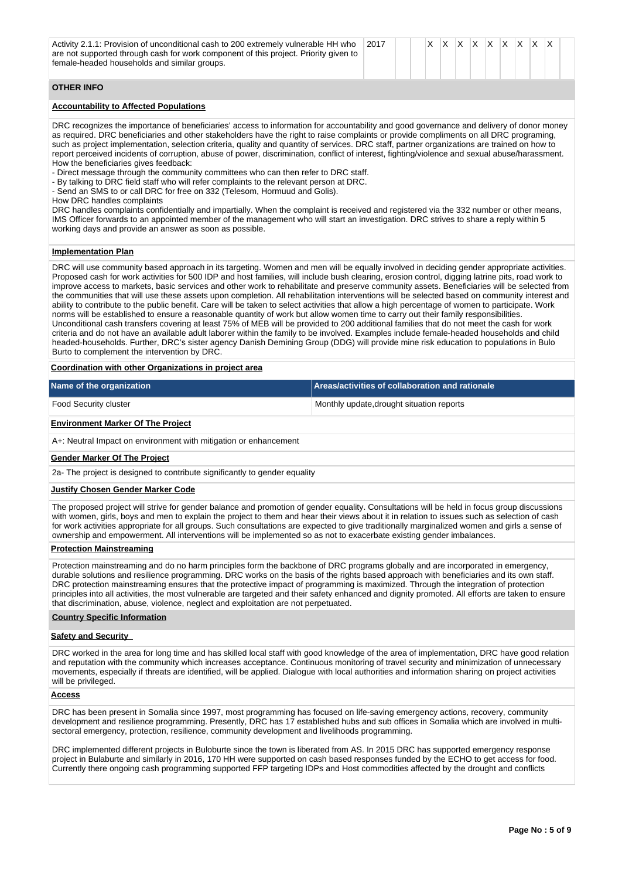| Activity 2.1.1: Provision of unconditional cash to 200 extremely vulnerable HH who<br>are not supported through cash for work component of this project. Priority given to<br>female-headed households and similar groups.                                                                                                                                                                                                                                                                                                                                                                                                                                                                                                                                                                                                                                                                                                                                                                                                                                                                                                                                                                                                                                                                                                                                             |                                                 | 2017 | X. |  |  | $ X $ $ X $ $ X $ $ X $ $ X $ |  | X |  |
|------------------------------------------------------------------------------------------------------------------------------------------------------------------------------------------------------------------------------------------------------------------------------------------------------------------------------------------------------------------------------------------------------------------------------------------------------------------------------------------------------------------------------------------------------------------------------------------------------------------------------------------------------------------------------------------------------------------------------------------------------------------------------------------------------------------------------------------------------------------------------------------------------------------------------------------------------------------------------------------------------------------------------------------------------------------------------------------------------------------------------------------------------------------------------------------------------------------------------------------------------------------------------------------------------------------------------------------------------------------------|-------------------------------------------------|------|----|--|--|-------------------------------|--|---|--|
| <b>OTHER INFO</b>                                                                                                                                                                                                                                                                                                                                                                                                                                                                                                                                                                                                                                                                                                                                                                                                                                                                                                                                                                                                                                                                                                                                                                                                                                                                                                                                                      |                                                 |      |    |  |  |                               |  |   |  |
| <b>Accountability to Affected Populations</b>                                                                                                                                                                                                                                                                                                                                                                                                                                                                                                                                                                                                                                                                                                                                                                                                                                                                                                                                                                                                                                                                                                                                                                                                                                                                                                                          |                                                 |      |    |  |  |                               |  |   |  |
| DRC recognizes the importance of beneficiaries' access to information for accountability and good governance and delivery of donor money<br>as required. DRC beneficiaries and other stakeholders have the right to raise complaints or provide compliments on all DRC programing,<br>such as project implementation, selection criteria, quality and quantity of services. DRC staff, partner organizations are trained on how to<br>report perceived incidents of corruption, abuse of power, discrimination, conflict of interest, fighting/violence and sexual abuse/harassment.<br>How the beneficiaries gives feedback:<br>- Direct message through the community committees who can then refer to DRC staff.<br>- By talking to DRC field staff who will refer complaints to the relevant person at DRC.<br>- Send an SMS to or call DRC for free on 332 (Telesom, Hormuud and Golis).<br>How DRC handles complaints<br>DRC handles complaints confidentially and impartially. When the complaint is received and registered via the 332 number or other means,<br>IMS Officer forwards to an appointed member of the management who will start an investigation. DRC strives to share a reply within 5<br>working days and provide an answer as soon as possible.                                                                                              |                                                 |      |    |  |  |                               |  |   |  |
| <b>Implementation Plan</b>                                                                                                                                                                                                                                                                                                                                                                                                                                                                                                                                                                                                                                                                                                                                                                                                                                                                                                                                                                                                                                                                                                                                                                                                                                                                                                                                             |                                                 |      |    |  |  |                               |  |   |  |
| DRC will use community based approach in its targeting. Women and men will be equally involved in deciding gender appropriate activities.<br>Proposed cash for work activities for 500 IDP and host families, will include bush clearing, erosion control, digging latrine pits, road work to<br>improve access to markets, basic services and other work to rehabilitate and preserve community assets. Beneficiaries will be selected from<br>the communities that will use these assets upon completion. All rehabilitation interventions will be selected based on community interest and<br>ability to contribute to the public benefit. Care will be taken to select activities that allow a high percentage of women to participate. Work<br>norms will be established to ensure a reasonable quantity of work but allow women time to carry out their family responsibilities.<br>Unconditional cash transfers covering at least 75% of MEB will be provided to 200 additional families that do not meet the cash for work<br>criteria and do not have an available adult laborer within the family to be involved. Examples include female-headed households and child<br>headed-households. Further, DRC's sister agency Danish Demining Group (DDG) will provide mine risk education to populations in Bulo<br>Burto to complement the intervention by DRC. |                                                 |      |    |  |  |                               |  |   |  |
| Coordination with other Organizations in project area                                                                                                                                                                                                                                                                                                                                                                                                                                                                                                                                                                                                                                                                                                                                                                                                                                                                                                                                                                                                                                                                                                                                                                                                                                                                                                                  |                                                 |      |    |  |  |                               |  |   |  |
|                                                                                                                                                                                                                                                                                                                                                                                                                                                                                                                                                                                                                                                                                                                                                                                                                                                                                                                                                                                                                                                                                                                                                                                                                                                                                                                                                                        |                                                 |      |    |  |  |                               |  |   |  |
| Name of the organization                                                                                                                                                                                                                                                                                                                                                                                                                                                                                                                                                                                                                                                                                                                                                                                                                                                                                                                                                                                                                                                                                                                                                                                                                                                                                                                                               | Areas/activities of collaboration and rationale |      |    |  |  |                               |  |   |  |
| <b>Food Security cluster</b>                                                                                                                                                                                                                                                                                                                                                                                                                                                                                                                                                                                                                                                                                                                                                                                                                                                                                                                                                                                                                                                                                                                                                                                                                                                                                                                                           | Monthly update, drought situation reports       |      |    |  |  |                               |  |   |  |
| <b>Environment Marker Of The Project</b>                                                                                                                                                                                                                                                                                                                                                                                                                                                                                                                                                                                                                                                                                                                                                                                                                                                                                                                                                                                                                                                                                                                                                                                                                                                                                                                               |                                                 |      |    |  |  |                               |  |   |  |
| A+: Neutral Impact on environment with mitigation or enhancement                                                                                                                                                                                                                                                                                                                                                                                                                                                                                                                                                                                                                                                                                                                                                                                                                                                                                                                                                                                                                                                                                                                                                                                                                                                                                                       |                                                 |      |    |  |  |                               |  |   |  |
| <b>Gender Marker Of The Project</b>                                                                                                                                                                                                                                                                                                                                                                                                                                                                                                                                                                                                                                                                                                                                                                                                                                                                                                                                                                                                                                                                                                                                                                                                                                                                                                                                    |                                                 |      |    |  |  |                               |  |   |  |
| 2a- The project is designed to contribute significantly to gender equality                                                                                                                                                                                                                                                                                                                                                                                                                                                                                                                                                                                                                                                                                                                                                                                                                                                                                                                                                                                                                                                                                                                                                                                                                                                                                             |                                                 |      |    |  |  |                               |  |   |  |
| <b>Justify Chosen Gender Marker Code</b>                                                                                                                                                                                                                                                                                                                                                                                                                                                                                                                                                                                                                                                                                                                                                                                                                                                                                                                                                                                                                                                                                                                                                                                                                                                                                                                               |                                                 |      |    |  |  |                               |  |   |  |
| The proposed project will strive for gender balance and promotion of gender equality. Consultations will be held in focus group discussions<br>with women, girls, boys and men to explain the project to them and hear their views about it in relation to issues such as selection of cash<br>for work activities appropriate for all groups. Such consultations are expected to give traditionally marginalized women and girls a sense of<br>ownership and empowerment. All interventions will be implemented so as not to exacerbate existing gender imbalances.                                                                                                                                                                                                                                                                                                                                                                                                                                                                                                                                                                                                                                                                                                                                                                                                   |                                                 |      |    |  |  |                               |  |   |  |
| <b>Protection Mainstreaming</b>                                                                                                                                                                                                                                                                                                                                                                                                                                                                                                                                                                                                                                                                                                                                                                                                                                                                                                                                                                                                                                                                                                                                                                                                                                                                                                                                        |                                                 |      |    |  |  |                               |  |   |  |
| Protection mainstreaming and do no harm principles form the backbone of DRC programs globally and are incorporated in emergency,<br>durable solutions and resilience programming. DRC works on the basis of the rights based approach with beneficiaries and its own staff.<br>DRC protection mainstreaming ensures that the protective impact of programming is maximized. Through the integration of protection<br>principles into all activities, the most vulnerable are targeted and their safety enhanced and dignity promoted. All efforts are taken to ensure<br>that discrimination, abuse, violence, neglect and exploitation are not perpetuated.                                                                                                                                                                                                                                                                                                                                                                                                                                                                                                                                                                                                                                                                                                           |                                                 |      |    |  |  |                               |  |   |  |
| <b>Country Specific Information</b>                                                                                                                                                                                                                                                                                                                                                                                                                                                                                                                                                                                                                                                                                                                                                                                                                                                                                                                                                                                                                                                                                                                                                                                                                                                                                                                                    |                                                 |      |    |  |  |                               |  |   |  |
| <b>Safety and Security</b>                                                                                                                                                                                                                                                                                                                                                                                                                                                                                                                                                                                                                                                                                                                                                                                                                                                                                                                                                                                                                                                                                                                                                                                                                                                                                                                                             |                                                 |      |    |  |  |                               |  |   |  |
| DRC worked in the area for long time and has skilled local staff with good knowledge of the area of implementation, DRC have good relation<br>and reputation with the community which increases acceptance. Continuous monitoring of travel security and minimization of unnecessary<br>movements, especially if threats are identified, will be applied. Dialogue with local authorities and information sharing on project activities<br>will be privileged.                                                                                                                                                                                                                                                                                                                                                                                                                                                                                                                                                                                                                                                                                                                                                                                                                                                                                                         |                                                 |      |    |  |  |                               |  |   |  |

DRC has been present in Somalia since 1997, most programming has focused on life-saving emergency actions, recovery, community development and resilience programming. Presently, DRC has 17 established hubs and sub offices in Somalia which are involved in multisectoral emergency, protection, resilience, community development and livelihoods programming.

DRC implemented different projects in Buloburte since the town is liberated from AS. In 2015 DRC has supported emergency response project in Bulaburte and similarly in 2016, 170 HH were supported on cash based responses funded by the ECHO to get access for food. Currently there ongoing cash programming supported FFP targeting IDPs and Host commodities affected by the drought and conflicts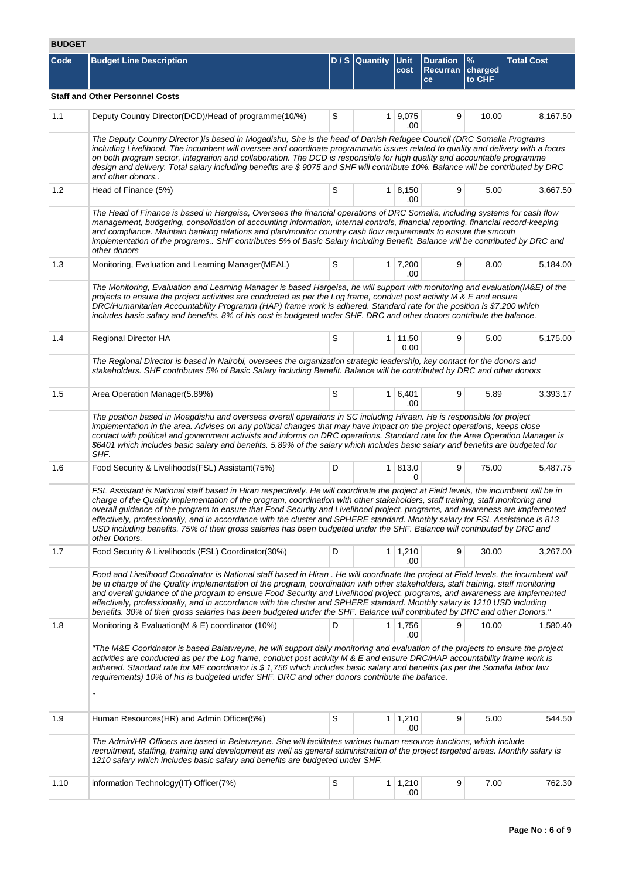# **BUDGET**

| Code | <b>Budget Line Description</b>                                                                                                                                                                                                                                                                                                                                                                                                                                                                                                                                                                                                                                                         |   | D / S   Quantity   Unit | cost                   | <b>Duration</b><br><b>Recurran</b><br>ce | $\frac{9}{6}$<br>charged<br>to CHF | <b>Total Cost</b> |
|------|----------------------------------------------------------------------------------------------------------------------------------------------------------------------------------------------------------------------------------------------------------------------------------------------------------------------------------------------------------------------------------------------------------------------------------------------------------------------------------------------------------------------------------------------------------------------------------------------------------------------------------------------------------------------------------------|---|-------------------------|------------------------|------------------------------------------|------------------------------------|-------------------|
|      | <b>Staff and Other Personnel Costs</b>                                                                                                                                                                                                                                                                                                                                                                                                                                                                                                                                                                                                                                                 |   |                         |                        |                                          |                                    |                   |
| 1.1  | Deputy Country Director(DCD)/Head of programme(10/%)                                                                                                                                                                                                                                                                                                                                                                                                                                                                                                                                                                                                                                   | S |                         | 1 9,075                | 9                                        | 10.00                              | 8,167.50          |
|      |                                                                                                                                                                                                                                                                                                                                                                                                                                                                                                                                                                                                                                                                                        |   |                         | .00                    |                                          |                                    |                   |
|      | The Deputy Country Director )is based in Mogadishu, She is the head of Danish Refugee Council (DRC Somalia Programs<br>including Livelihood. The incumbent will oversee and coordinate programmatic issues related to quality and delivery with a focus<br>on both program sector, integration and collaboration. The DCD is responsible for high quality and accountable programme<br>design and delivery. Total salary including benefits are \$9075 and SHF will contribute 10%. Balance will be contributed by DRC<br>and other donors                                                                                                                                             |   |                         |                        |                                          |                                    |                   |
| 1.2  | Head of Finance (5%)                                                                                                                                                                                                                                                                                                                                                                                                                                                                                                                                                                                                                                                                   | S |                         | $1 \mid 8,150$<br>.00  | 9                                        | 5.00                               | 3,667.50          |
|      | The Head of Finance is based in Hargeisa, Oversees the financial operations of DRC Somalia, including systems for cash flow<br>management, budgeting, consolidation of accounting information, internal controls, financial reporting, financial record-keeping<br>and compliance. Maintain banking relations and plan/monitor country cash flow requirements to ensure the smooth<br>implementation of the programs SHF contributes 5% of Basic Salary including Benefit. Balance will be contributed by DRC and<br>other donors                                                                                                                                                      |   |                         |                        |                                          |                                    |                   |
| 1.3  | Monitoring, Evaluation and Learning Manager (MEAL)                                                                                                                                                                                                                                                                                                                                                                                                                                                                                                                                                                                                                                     | S |                         | $1 \mid 7,200$<br>.00  | 9                                        | 8.00                               | 5,184.00          |
|      | The Monitoring, Evaluation and Learning Manager is based Hargeisa, he will support with monitoring and evaluation(M&E) of the<br>projects to ensure the project activities are conducted as per the Log frame, conduct post activity M & E and ensure<br>DRC/Humanitarian Accountability Programm (HAP) frame work is adhered. Standard rate for the position is \$7,200 which<br>includes basic salary and benefits. 8% of his cost is budgeted under SHF. DRC and other donors contribute the balance.                                                                                                                                                                               |   |                         |                        |                                          |                                    |                   |
| 1.4  | Regional Director HA                                                                                                                                                                                                                                                                                                                                                                                                                                                                                                                                                                                                                                                                   | S |                         | $1 \mid 11,50$<br>0.00 | 9                                        | 5.00                               | 5,175.00          |
|      | The Regional Director is based in Nairobi, oversees the organization strategic leadership, key contact for the donors and<br>stakeholders. SHF contributes 5% of Basic Salary including Benefit. Balance will be contributed by DRC and other donors                                                                                                                                                                                                                                                                                                                                                                                                                                   |   |                         |                        |                                          |                                    |                   |
| 1.5  | Area Operation Manager(5.89%)                                                                                                                                                                                                                                                                                                                                                                                                                                                                                                                                                                                                                                                          | S |                         | 1 6,401<br>.00         | 9                                        | 5.89                               | 3,393.17          |
|      | The position based in Moagdishu and oversees overall operations in SC including Hiiraan. He is responsible for project<br>implementation in the area. Advises on any political changes that may have impact on the project operations, keeps close<br>contact with political and government activists and informs on DRC operations. Standard rate for the Area Operation Manager is<br>\$6401 which includes basic salary and benefits. 5.89% of the salary which includes basic salary and benefits are budgeted for<br>SHF.                                                                                                                                                         |   |                         |                        |                                          |                                    |                   |
| 1.6  | Food Security & Livelihoods(FSL) Assistant(75%)                                                                                                                                                                                                                                                                                                                                                                                                                                                                                                                                                                                                                                        | D |                         | 1 813.0<br>0           | 9                                        | 75.00                              | 5,487.75          |
|      | FSL Assistant is National staff based in Hiran respectively. He will coordinate the project at Field levels, the incumbent will be in<br>charge of the Quality implementation of the program, coordination with other stakeholders, staff training, staff monitoring and<br>overall guidance of the program to ensure that Food Security and Livelihood project, programs, and awareness are implemented<br>effectively, professionally, and in accordance with the cluster and SPHERE standard. Monthly salary for FSL Assistance is 813<br>USD including benefits. 75% of their gross salaries has been budgeted under the SHF. Balance will contributed by DRC and<br>other Donors. |   |                         |                        |                                          |                                    |                   |
| 1.7  | Food Security & Livelihoods (FSL) Coordinator(30%)                                                                                                                                                                                                                                                                                                                                                                                                                                                                                                                                                                                                                                     | D |                         | $1 \mid 1,210$<br>.00  | 9                                        | 30.00                              | 3,267.00          |
|      | Food and Livelihood Coordinator is National staff based in Hiran . He will coordinate the project at Field levels, the incumbent will<br>be in charge of the Quality implementation of the program, coordination with other stakeholders, staff training, staff monitoring<br>and overall guidance of the program to ensure Food Security and Livelihood project, programs, and awareness are implemented<br>effectively, professionally, and in accordance with the cluster and SPHERE standard. Monthly salary is 1210 USD including<br>benefits. 30% of their gross salaries has been budgeted under the SHF. Balance will contributed by DRC and other Donors."                    |   |                         |                        |                                          |                                    |                   |
| 1.8  | Monitoring & Evaluation (M & E) coordinator (10%)                                                                                                                                                                                                                                                                                                                                                                                                                                                                                                                                                                                                                                      | D |                         | $1 \mid 1,756$<br>.00  | 9                                        | 10.00                              | 1,580.40          |
|      | "The M&E Cooridnator is based Balatweyne, he will support daily monitoring and evaluation of the projects to ensure the project<br>activities are conducted as per the Log frame, conduct post activity M & E and ensure DRC/HAP accountability frame work is<br>adhered. Standard rate for ME coordinator is \$1,756 which includes basic salary and benefits (as per the Somalia labor law<br>requirements) 10% of his is budgeted under SHF. DRC and other donors contribute the balance.<br>$\pmb{\mathsf{H}}$                                                                                                                                                                     |   |                         |                        |                                          |                                    |                   |
| 1.9  | Human Resources(HR) and Admin Officer(5%)                                                                                                                                                                                                                                                                                                                                                                                                                                                                                                                                                                                                                                              | S |                         | $1 \mid 1,210$<br>.00  | 9                                        | 5.00                               | 544.50            |
|      | The Admin/HR Officers are based in Beletweyne. She will facilitates various human resource functions, which include<br>recruitment, staffing, training and development as well as general administration of the project targeted areas. Monthly salary is<br>1210 salary which includes basic salary and benefits are budgeted under SHF.                                                                                                                                                                                                                                                                                                                                              |   |                         |                        |                                          |                                    |                   |
| 1.10 | information Technology(IT) Officer(7%)                                                                                                                                                                                                                                                                                                                                                                                                                                                                                                                                                                                                                                                 | S |                         | $1 \mid 1,210$<br>.00  | 9                                        | 7.00                               | 762.30            |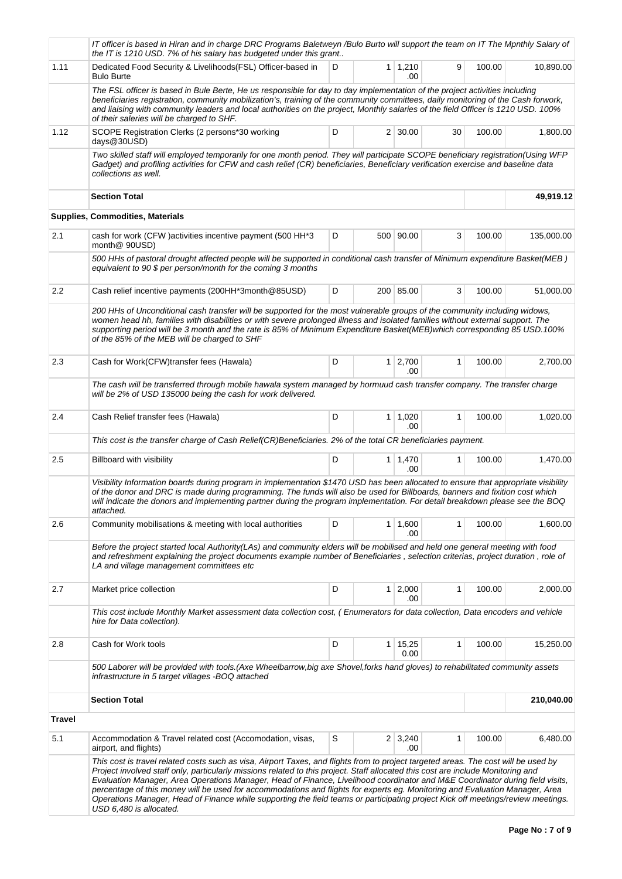|        | IT officer is based in Hiran and in charge DRC Programs Baletweyn /Bulo Burto will support the team on IT The Mpnthly Salary of<br>the IT is 1210 USD. 7% of his salary has budgeted under this grant                                                                                                                                                                                                                                                                                                                                                                                                                                                                                                   |   |                |                       |              |        |            |
|--------|---------------------------------------------------------------------------------------------------------------------------------------------------------------------------------------------------------------------------------------------------------------------------------------------------------------------------------------------------------------------------------------------------------------------------------------------------------------------------------------------------------------------------------------------------------------------------------------------------------------------------------------------------------------------------------------------------------|---|----------------|-----------------------|--------------|--------|------------|
| 1.11   | Dedicated Food Security & Livelihoods(FSL) Officer-based in<br><b>Bulo Burte</b>                                                                                                                                                                                                                                                                                                                                                                                                                                                                                                                                                                                                                        | D |                | 1   1,210<br>.00.     | 9            | 100.00 | 10,890.00  |
|        | The FSL officer is based in Bule Berte, He us responsible for day to day implementation of the project activities including<br>beneficiaries registration, community mobilization's, training of the community committees, daily monitoring of the Cash forwork,<br>and liaising with community leaders and local authorities on the project, Monthly salaries of the field Officer is 1210 USD. 100%<br>of their saleries will be charged to SHF.                                                                                                                                                                                                                                                      |   |                |                       |              |        |            |
| 1.12   | SCOPE Registration Clerks (2 persons*30 working<br>days@30USD)                                                                                                                                                                                                                                                                                                                                                                                                                                                                                                                                                                                                                                          | D |                | $2 \mid 30.00$        | 30           | 100.00 | 1,800.00   |
|        | Two skilled staff will employed temporarily for one month period. They will participate SCOPE beneficiary registration(Using WFP<br>Gadget) and profiling activities for CFW and cash relief (CR) beneficiaries, Beneficiary verification exercise and baseline data<br>collections as well.                                                                                                                                                                                                                                                                                                                                                                                                            |   |                |                       |              |        |            |
|        | <b>Section Total</b>                                                                                                                                                                                                                                                                                                                                                                                                                                                                                                                                                                                                                                                                                    |   |                |                       |              |        | 49,919.12  |
|        | <b>Supplies, Commodities, Materials</b>                                                                                                                                                                                                                                                                                                                                                                                                                                                                                                                                                                                                                                                                 |   |                |                       |              |        |            |
| 2.1    | cash for work (CFW ) activities incentive payment (500 HH*3<br>month@ 90USD)                                                                                                                                                                                                                                                                                                                                                                                                                                                                                                                                                                                                                            | D |                | 500 90.00             | 3            | 100.00 | 135,000.00 |
|        | 500 HHs of pastoral drought affected people will be supported in conditional cash transfer of Minimum expenditure Basket(MEB)<br>equivalent to 90 \$ per person/month for the coming 3 months                                                                                                                                                                                                                                                                                                                                                                                                                                                                                                           |   |                |                       |              |        |            |
| 2.2    | Cash relief incentive payments (200HH*3month@85USD)                                                                                                                                                                                                                                                                                                                                                                                                                                                                                                                                                                                                                                                     | D |                | 200 85.00             | 3            | 100.00 | 51,000.00  |
|        | 200 HHs of Unconditional cash transfer will be supported for the most vulnerable groups of the community including widows,<br>women head hh, families with disabilities or with severe prolonged illness and isolated families without external support. The<br>supporting period will be 3 month and the rate is 85% of Minimum Expenditure Basket(MEB)which corresponding 85 USD.100%<br>of the 85% of the MEB will be charged to SHF                                                                                                                                                                                                                                                                 |   |                |                       |              |        |            |
| 2.3    | Cash for Work(CFW)transfer fees (Hawala)                                                                                                                                                                                                                                                                                                                                                                                                                                                                                                                                                                                                                                                                | D |                | $1 \mid 2,700$<br>.00 | 1            | 100.00 | 2,700.00   |
|        | The cash will be transferred through mobile hawala system managed by hormuud cash transfer company. The transfer charge<br>will be 2% of USD 135000 being the cash for work delivered.                                                                                                                                                                                                                                                                                                                                                                                                                                                                                                                  |   |                |                       |              |        |            |
| 2.4    | Cash Relief transfer fees (Hawala)                                                                                                                                                                                                                                                                                                                                                                                                                                                                                                                                                                                                                                                                      | D |                | $1 \mid 1,020$<br>.00 | 1            | 100.00 | 1,020.00   |
|        | This cost is the transfer charge of Cash Relief(CR)Beneficiaries. 2% of the total CR beneficiaries payment.                                                                                                                                                                                                                                                                                                                                                                                                                                                                                                                                                                                             |   |                |                       |              |        |            |
| 2.5    | Billboard with visibility                                                                                                                                                                                                                                                                                                                                                                                                                                                                                                                                                                                                                                                                               | D |                | $1 \mid 1,470$<br>.00 | $\mathbf{1}$ | 100.00 | 1,470.00   |
|        | Visibility Information boards during program in implementation \$1470 USD has been allocated to ensure that appropriate visibility<br>of the donor and DRC is made during programming. The funds will also be used for Billboards, banners and fixition cost which<br>will indicate the donors and implementing partner during the program implementation. For detail breakdown please see the BOQ<br>attached.                                                                                                                                                                                                                                                                                         |   |                |                       |              |        |            |
| 2.6    | Community mobilisations & meeting with local authorities                                                                                                                                                                                                                                                                                                                                                                                                                                                                                                                                                                                                                                                | D |                | $1 \mid 1,600$<br>.00 | 1            | 100.00 | 1,600.00   |
|        | Before the project started local Authority(LAs) and community elders will be mobilised and held one general meeting with food<br>and refreshment explaining the project documents example number of Beneficiaries, selection criterias, project duration, role of<br>LA and village management committees etc                                                                                                                                                                                                                                                                                                                                                                                           |   |                |                       |              |        |            |
| 2.7    | Market price collection                                                                                                                                                                                                                                                                                                                                                                                                                                                                                                                                                                                                                                                                                 | D |                | $1 \mid 2,000$<br>.00 | 1            | 100.00 | 2,000.00   |
|        | This cost include Monthly Market assessment data collection cost, (Enumerators for data collection, Data encoders and vehicle<br>hire for Data collection).                                                                                                                                                                                                                                                                                                                                                                                                                                                                                                                                             |   |                |                       |              |        |            |
| 2.8    | Cash for Work tools                                                                                                                                                                                                                                                                                                                                                                                                                                                                                                                                                                                                                                                                                     | D | 1 <sup>1</sup> | 15,25<br>0.00         | 1            | 100.00 | 15,250.00  |
|        | 500 Laborer will be provided with tools. (Axe Wheelbarrow, big axe Shovel, forks hand gloves) to rehabilitated community assets<br>infrastructure in 5 target villages -BOQ attached                                                                                                                                                                                                                                                                                                                                                                                                                                                                                                                    |   |                |                       |              |        |            |
|        | <b>Section Total</b>                                                                                                                                                                                                                                                                                                                                                                                                                                                                                                                                                                                                                                                                                    |   |                |                       |              |        | 210,040.00 |
| Travel |                                                                                                                                                                                                                                                                                                                                                                                                                                                                                                                                                                                                                                                                                                         |   |                |                       |              |        |            |
| 5.1    | Accommodation & Travel related cost (Accomodation, visas,<br>airport, and flights)                                                                                                                                                                                                                                                                                                                                                                                                                                                                                                                                                                                                                      | S |                | $2 \mid 3,240$<br>.00 | 1            | 100.00 | 6,480.00   |
|        | This cost is travel related costs such as visa, Airport Taxes, and flights from to project targeted areas. The cost will be used by<br>Project involved staff only, particularly missions related to this project. Staff allocated this cost are include Monitoring and<br>Evaluation Manager, Area Operations Manager, Head of Finance, Livelihood coordinator and M&E Coordinator during field visits,<br>percentage of this money will be used for accommodations and flights for experts eg. Monitoring and Evaluation Manager, Area<br>Operations Manager, Head of Finance while supporting the field teams or participating project Kick off meetings/review meetings.<br>USD 6,480 is allocated. |   |                |                       |              |        |            |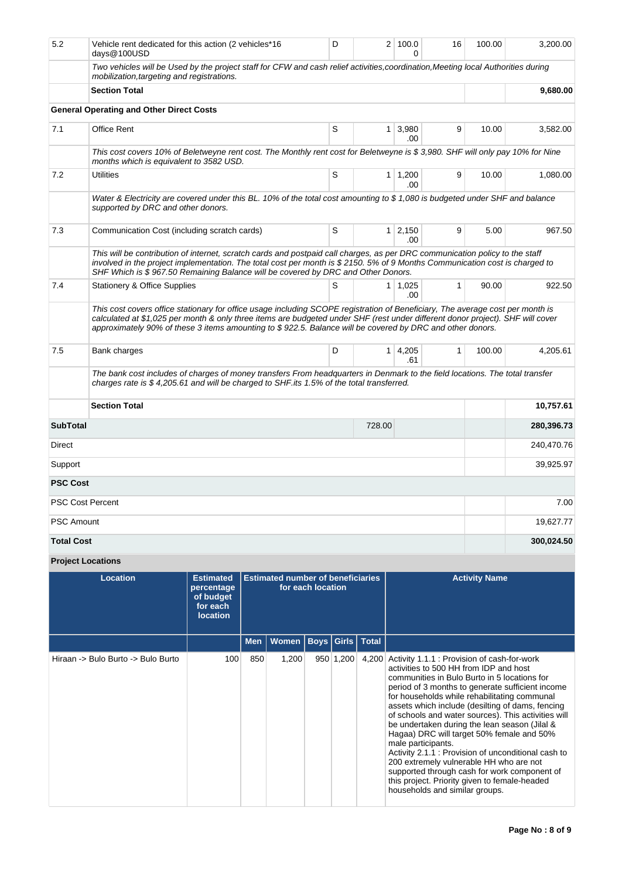| 5.2               | Vehicle rent dedicated for this action (2 vehicles*16<br>days@100USD                                                                                                                                                                                                                                                                                                          |                                |                                                               | D |        | 2 100.0<br>0                       | 16           | 100.00 | 3,200.00   |
|-------------------|-------------------------------------------------------------------------------------------------------------------------------------------------------------------------------------------------------------------------------------------------------------------------------------------------------------------------------------------------------------------------------|--------------------------------|---------------------------------------------------------------|---|--------|------------------------------------|--------------|--------|------------|
|                   | Two vehicles will be Used by the project staff for CFW and cash relief activities, coordination, Meeting local Authorities during<br>mobilization, targeting and registrations.                                                                                                                                                                                               |                                |                                                               |   |        |                                    |              |        |            |
|                   | <b>Section Total</b>                                                                                                                                                                                                                                                                                                                                                          |                                |                                                               |   |        |                                    |              |        | 9,680.00   |
|                   | <b>General Operating and Other Direct Costs</b>                                                                                                                                                                                                                                                                                                                               |                                |                                                               |   |        |                                    |              |        |            |
| 7.1               | Office Rent                                                                                                                                                                                                                                                                                                                                                                   |                                |                                                               | S |        | $1 \overline{\smash)3,980}$<br>.00 | 9            | 10.00  | 3,582.00   |
|                   | This cost covers 10% of Beletweyne rent cost. The Monthly rent cost for Beletweyne is \$3,980. SHF will only pay 10% for Nine<br>months which is equivalent to 3582 USD.                                                                                                                                                                                                      |                                |                                                               |   |        |                                    |              |        |            |
| 7.2               | Utilities                                                                                                                                                                                                                                                                                                                                                                     |                                |                                                               | S |        | $1 \mid 1,200$<br>.00              | 9            | 10.00  | 1,080.00   |
|                   | Water & Electricity are covered under this BL. 10% of the total cost amounting to \$1,080 is budgeted under SHF and balance<br>supported by DRC and other donors.                                                                                                                                                                                                             |                                |                                                               |   |        |                                    |              |        |            |
| 7.3               | Communication Cost (including scratch cards)                                                                                                                                                                                                                                                                                                                                  |                                |                                                               | S |        | $1 \quad 2,150$<br>.00             | 9            | 5.00   | 967.50     |
|                   | This will be contribution of internet, scratch cards and postpaid call charges, as per DRC communication policy to the staff<br>involved in the project implementation. The total cost per month is \$2150.5% of 9 Months Communication cost is charged to<br>SHF Which is \$967.50 Remaining Balance will be covered by DRC and Other Donors.                                |                                |                                                               |   |        |                                    |              |        |            |
| 7.4               | <b>Stationery &amp; Office Supplies</b>                                                                                                                                                                                                                                                                                                                                       |                                |                                                               | S |        | $1 \mid 1,025$<br>.00              | $\mathbf{1}$ | 90.00  | 922.50     |
|                   | This cost covers office stationary for office usage including SCOPE registration of Beneficiary, The average cost per month is<br>calculated at \$1,025 per month & only three items are budgeted under SHF (rest under different donor project). SHF will cover<br>approximately 90% of these 3 items amounting to \$922.5. Balance will be covered by DRC and other donors. |                                |                                                               |   |        |                                    |              |        |            |
| 7.5               | Bank charges                                                                                                                                                                                                                                                                                                                                                                  |                                |                                                               | D |        | $1 \mid 4,205$<br>.61              | 1            | 100.00 | 4,205.61   |
|                   | The bank cost includes of charges of money transfers From headquarters in Denmark to the field locations. The total transfer<br>charges rate is $$4,205.61$ and will be charged to SHF its 1.5% of the total transferred.                                                                                                                                                     |                                |                                                               |   |        |                                    |              |        |            |
|                   | <b>Section Total</b>                                                                                                                                                                                                                                                                                                                                                          |                                |                                                               |   |        |                                    |              |        | 10,757.61  |
| <b>SubTotal</b>   |                                                                                                                                                                                                                                                                                                                                                                               |                                |                                                               |   | 728.00 |                                    |              |        | 280,396.73 |
| Direct            |                                                                                                                                                                                                                                                                                                                                                                               |                                |                                                               |   |        |                                    |              |        | 240,470.76 |
| Support           |                                                                                                                                                                                                                                                                                                                                                                               |                                |                                                               |   |        |                                    |              |        | 39,925.97  |
| <b>PSC Cost</b>   |                                                                                                                                                                                                                                                                                                                                                                               |                                |                                                               |   |        |                                    |              |        |            |
|                   | <b>PSC Cost Percent</b>                                                                                                                                                                                                                                                                                                                                                       |                                |                                                               |   |        |                                    |              |        | 7.00       |
| <b>PSC Amount</b> |                                                                                                                                                                                                                                                                                                                                                                               |                                |                                                               |   |        |                                    |              |        | 19,627.77  |
| <b>Total Cost</b> |                                                                                                                                                                                                                                                                                                                                                                               |                                |                                                               |   |        |                                    |              |        | 300,024.50 |
|                   | <b>Project Locations</b>                                                                                                                                                                                                                                                                                                                                                      |                                |                                                               |   |        |                                    |              |        |            |
| <b>Location</b>   |                                                                                                                                                                                                                                                                                                                                                                               | <b>Estimated</b><br>percentage | <b>Estimated number of beneficiaries</b><br>for each location |   |        | <b>Activity Name</b>               |              |        |            |

| Location                           | <b>Estimated</b><br>percentage<br>of budget<br>for each<br><b>location</b> | <b>Estimated number of beneficiaries</b><br>for each location |                      |  |           |              | <b>Activity Name</b>                                                                                                                                                                                                                                                                                                                                                                                                                                                                                                                                                                                                                                                                                          |  |  |
|------------------------------------|----------------------------------------------------------------------------|---------------------------------------------------------------|----------------------|--|-----------|--------------|---------------------------------------------------------------------------------------------------------------------------------------------------------------------------------------------------------------------------------------------------------------------------------------------------------------------------------------------------------------------------------------------------------------------------------------------------------------------------------------------------------------------------------------------------------------------------------------------------------------------------------------------------------------------------------------------------------------|--|--|
|                                    |                                                                            | <b>Men</b>                                                    | Women   Boys   Girls |  |           | <b>Total</b> |                                                                                                                                                                                                                                                                                                                                                                                                                                                                                                                                                                                                                                                                                                               |  |  |
| Hiraan -> Bulo Burto -> Bulo Burto | 100                                                                        | 850                                                           | 1,200                |  | 950 1,200 | 4,200        | Activity 1.1.1 : Provision of cash-for-work<br>activities to 500 HH from IDP and host<br>communities in Bulo Burto in 5 locations for<br>period of 3 months to generate sufficient income<br>for households while rehabilitating communal<br>assets which include (desilting of dams, fencing<br>of schools and water sources). This activities will<br>be undertaken during the lean season (Jilal &<br>Hagaa) DRC will target 50% female and 50%<br>male participants.<br>Activity 2.1.1 : Provision of unconditional cash to<br>200 extremely vulnerable HH who are not<br>supported through cash for work component of<br>this project. Priority given to female-headed<br>households and similar groups. |  |  |